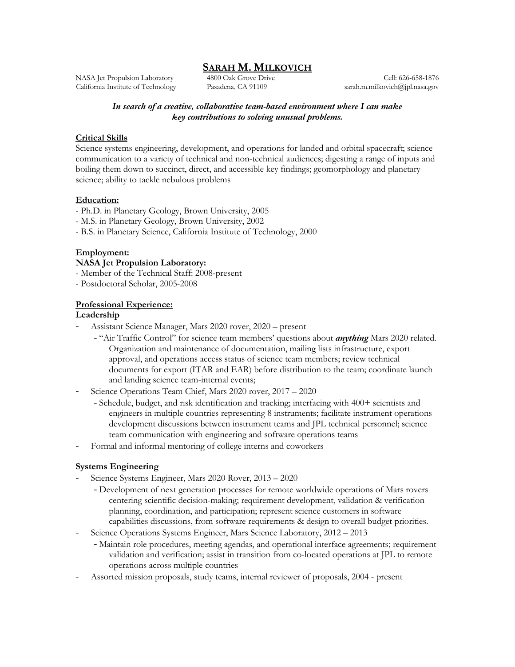# **SARAH M. MILKOVICH**

NASA Jet Propulsion Laboratory California Institute of Technology

4800 Oak Grove Drive Pasadena, CA 91109

Cell: 626-658-1876 sarah.m.milkovich@jpl.nasa.gov

## *In search of a creative, collaborative team-based environment where I can make key contributions to solving unusual problems.*

### **Critical Skills**

Science systems engineering, development, and operations for landed and orbital spacecraft; science communication to a variety of technical and non-technical audiences; digesting a range of inputs and boiling them down to succinct, direct, and accessible key findings; geomorphology and planetary science; ability to tackle nebulous problems

#### **Education:**

- Ph.D. in Planetary Geology, Brown University, 2005
- M.S. in Planetary Geology, Brown University, 2002
- B.S. in Planetary Science, California Institute of Technology, 2000

### **Employment:**

### **NASA Jet Propulsion Laboratory:**

- Member of the Technical Staff: 2008-present
- Postdoctoral Scholar, 2005-2008

### **Professional Experience:**

### **Leadership**

- Assistant Science Manager, Mars 2020 rover, 2020 present
	- "Air Traffic Control" for science team members' questions about *anything* Mars 2020 related. Organization and maintenance of documentation, mailing lists infrastructure, export approval, and operations access status of science team members; review technical documents for export (ITAR and EAR) before distribution to the team; coordinate launch and landing science team-internal events;
- Science Operations Team Chief, Mars 2020 rover, 2017 2020
	- Schedule, budget, and risk identification and tracking; interfacing with 400+ scientists and engineers in multiple countries representing 8 instruments; facilitate instrument operations development discussions between instrument teams and JPL technical personnel; science team communication with engineering and software operations teams
- Formal and informal mentoring of college interns and coworkers

## **Systems Engineering**

- Science Systems Engineer, Mars 2020 Rover, 2013 2020
	- Development of next generation processes for remote worldwide operations of Mars rovers centering scientific decision-making; requirement development, validation & verification planning, coordination, and participation; represent science customers in software capabilities discussions, from software requirements & design to overall budget priorities.
- Science Operations Systems Engineer, Mars Science Laboratory, 2012 2013
	- Maintain role procedures, meeting agendas, and operational interface agreements; requirement validation and verification; assist in transition from co-located operations at JPL to remote operations across multiple countries
- Assorted mission proposals, study teams, internal reviewer of proposals, 2004 present